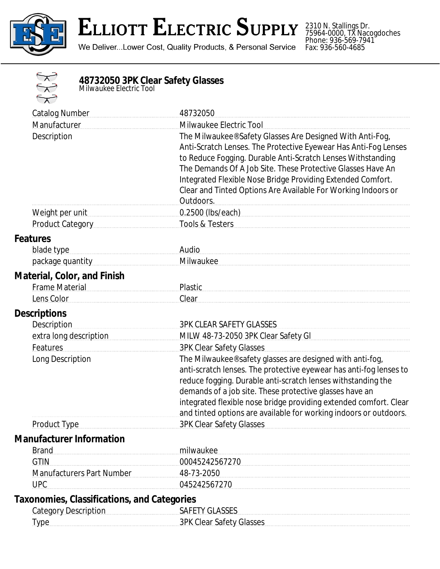

## **ELLIOTT ELECTRIC SUPPLY**

We Deliver...Lower Cost, Quality Products, & Personal Service

2310 N. Stallings Dr. 75964-0000, TX Nacogdoches Phone: 936-569-7941 Fax: 936-560-4685



## **48732050 3PK Clear Safety Glasses** *Milwaukee Electric Tool*

| <b>Catalog Number</b>                              | 48732050                                                           |
|----------------------------------------------------|--------------------------------------------------------------------|
| Manufacturer                                       | Milwaukee Electric Tool                                            |
| Description                                        | The Milwaukee® Safety Glasses Are Designed With Anti-Fog,          |
|                                                    | Anti-Scratch Lenses. The Protective Eyewear Has Anti-Fog Lenses    |
|                                                    | to Reduce Fogging. Durable Anti-Scratch Lenses Withstanding        |
|                                                    | The Demands Of A Job Site. These Protective Glasses Have An        |
|                                                    | Integrated Flexible Nose Bridge Providing Extended Comfort.        |
|                                                    | Clear and Tinted Options Are Available For Working Indoors or      |
|                                                    | Outdoors.                                                          |
| Weight per unit                                    | 0.2500 (lbs/each) 0.2500 (lbs/each)                                |
| <b>Product Category</b>                            | <b>Tools &amp; Testers</b>                                         |
| <b>Features</b>                                    |                                                                    |
| blade type                                         | Audio                                                              |
| package quantity                                   | Milwaukee                                                          |
| <b>Material, Color, and Finish</b>                 |                                                                    |
| <b>Frame Material</b>                              | Plastic                                                            |
| Lens Color                                         | Clear                                                              |
| <b>Descriptions</b>                                |                                                                    |
| <b>Description</b>                                 | <b>3PK CLEAR SAFETY GLASSES</b>                                    |
| extra long description                             | MILW 48-73-2050 3PK Clear Safety GI                                |
| Features                                           | <b>3PK Clear Safety Glasses</b>                                    |
| Long Description                                   | The Milwaukee® safety glasses are designed with anti-fog,          |
|                                                    | anti-scratch lenses. The protective eyewear has anti-fog lenses to |
|                                                    | reduce fogging. Durable anti-scratch lenses withstanding the       |
|                                                    | demands of a job site. These protective glasses have an            |
|                                                    | integrated flexible nose bridge providing extended comfort. Clear  |
|                                                    | and tinted options are available for working indoors or outdoors.  |
| <b>Product Type</b>                                | <b>3PK Clear Safety Glasses</b>                                    |
| <b>Manufacturer Information</b>                    |                                                                    |
| <b>Brand</b>                                       | milwaukee                                                          |
| <b>GTIN</b>                                        | 00045242567270                                                     |
| <b>Manufacturers Part Number</b>                   | 48-73-2050                                                         |
| <b>UPC</b>                                         | 045242567270                                                       |
| <b>Taxonomies, Classifications, and Categories</b> |                                                                    |
| <b>Category Description</b>                        | <b>SAFETY GLASSES</b>                                              |
| <b>Type</b>                                        | <b>3PK Clear Safety Glasses</b>                                    |